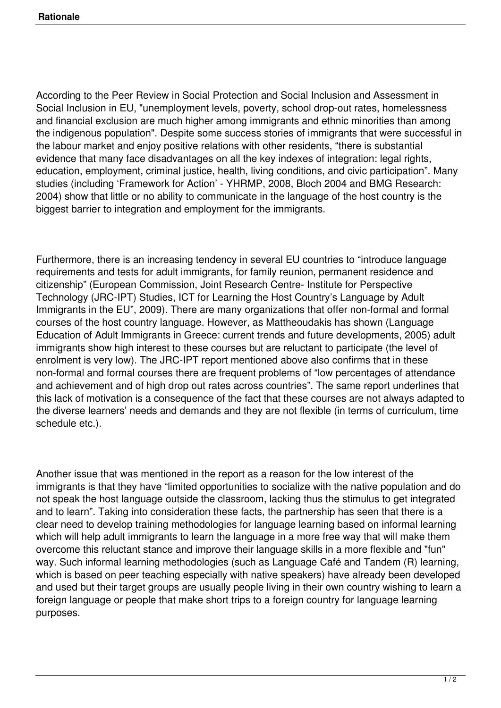According to the Peer Review in Social Protection and Social Inclusion and Assessment in Social Inclusion in EU, "unemployment levels, poverty, school drop-out rates, homelessness and financial exclusion are much higher among immigrants and ethnic minorities than among the indigenous population". Despite some success stories of immigrants that were successful in the labour market and enjoy positive relations with other residents, "there is substantial evidence that many face disadvantages on all the key indexes of integration: legal rights, education, employment, criminal justice, health, living conditions, and civic participation". Many studies (including 'Framework for Action' - YHRMP, 2008, Bloch 2004 and BMG Research: 2004) show that little or no ability to communicate in the language of the host country is the biggest barrier to integration and employment for the immigrants.

Furthermore, there is an increasing tendency in several EU countries to "introduce language requirements and tests for adult immigrants, for family reunion, permanent residence and citizenship" (European Commission, Joint Research Centre- Institute for Perspective Technology (JRC-IPT) Studies, ICT for Learning the Host Country's Language by Adult Immigrants in the EU", 2009). There are many organizations that offer non-formal and formal courses of the host country language. However, as Mattheoudakis has shown (Language Education of Adult Immigrants in Greece: current trends and future developments, 2005) adult immigrants show high interest to these courses but are reluctant to participate (the level of enrolment is very low). The JRC-IPT report mentioned above also confirms that in these non-formal and formal courses there are frequent problems of "low percentages of attendance and achievement and of high drop out rates across countries". The same report underlines that this lack of motivation is a consequence of the fact that these courses are not always adapted to the diverse learners' needs and demands and they are not flexible (in terms of curriculum, time schedule etc.).

Another issue that was mentioned in the report as a reason for the low interest of the immigrants is that they have "limited opportunities to socialize with the native population and do not speak the host language outside the classroom, lacking thus the stimulus to get integrated and to learn". Taking into consideration these facts, the partnership has seen that there is a clear need to develop training methodologies for language learning based on informal learning which will help adult immigrants to learn the language in a more free way that will make them overcome this reluctant stance and improve their language skills in a more flexible and "fun" way. Such informal learning methodologies (such as Language Café and Tandem (R) learning, which is based on peer teaching especially with native speakers) have already been developed and used but their target groups are usually people living in their own country wishing to learn a foreign language or people that make short trips to a foreign country for language learning purposes.